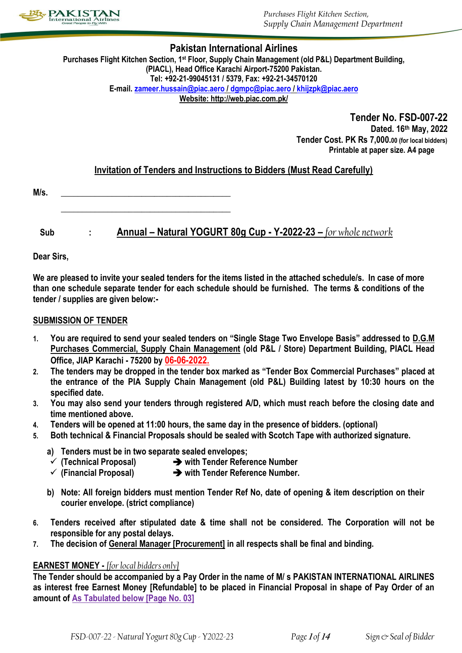

*Purchases Flight Kitchen Section, Supply Chain Management Department*

### **Pakistan International Airlines**

**Purchases Flight Kitchen Section, 1st Floor, Supply Chain Management (old P&L) Department Building, (PIACL), Head Office Karachi Airport-75200 Pakistan. Tel: +92-21-99045131 / 5379, Fax: +92-21-34570120 E-mail. [zameer.hussain@piac.aero](mailto:zameer.hussain@piac.aero) / [dgmpc@piac.aero](mailto:dgmpc@piac.aero) [/ khijzpk@piac.aero](mailto:khijzpk@piac.aero) Website: http://web.piac.com.pk/**

> **Tender No. FSD-007-22 Dated. 16th May, 2022 Tender Cost. PK Rs 7,000.00 (for local bidders) Printable at paper size. A4 page**

# **Invitation of Tenders and Instructions to Bidders (Must Read Carefully)**

| M/<br>v. |  |
|----------|--|
|          |  |

**\_\_\_\_\_\_\_\_\_\_\_\_\_\_\_\_\_\_\_\_\_\_\_\_\_\_\_\_\_\_\_\_\_\_\_\_\_\_\_\_**

# **Sub : Annual – Natural YOGURT 80g Cup - Y-2022-23 –** *for whole network*

**Dear Sirs,**

**We are pleased to invite your sealed tenders for the items listed in the attached schedule/s. In case of more than one schedule separate tender for each schedule should be furnished. The terms & conditions of the tender / supplies are given below:-**

### **SUBMISSION OF TENDER**

- **1. You are required to send your sealed tenders on "Single Stage Two Envelope Basis" addressed to D.G.M Purchases Commercial, Supply Chain Management (old P&L / Store) Department Building, PIACL Head Office, JIAP Karachi - 75200 by 06-06-2022.**
- **2. The tenders may be dropped in the tender box marked as "Tender Box Commercial Purchases" placed at the entrance of the PIA Supply Chain Management (old P&L) Building latest by 10:30 hours on the specified date.**
- **3. You may also send your tenders through registered A/D, which must reach before the closing date and time mentioned above.**
- **4. Tenders will be opened at 11:00 hours, the same day in the presence of bidders. (optional)**
- **5. Both technical & Financial Proposals should be sealed with Scotch Tape with authorized signature.**
	- **a) Tenders must be in two separate sealed envelopes;**
	- **(Technical Proposal) with Tender Reference Number**
	- **(Financial Proposal) with Tender Reference Number.**
	- **b) Note: All foreign bidders must mention Tender Ref No, date of opening & item description on their courier envelope. (strict compliance)**
- **6. Tenders received after stipulated date & time shall not be considered. The Corporation will not be responsible for any postal delays.**
- **7. The decision of General Manager [Procurement] in all respects shall be final and binding.**

### **EARNEST MONEY -** *[for local bidders only]*

**The Tender should be accompanied by a Pay Order in the name of M/ s PAKISTAN INTERNATIONAL AIRLINES as interest free Earnest Money [Refundable] to be placed in Financial Proposal in shape of Pay Order of an amount of As Tabulated below [Page No. 03]**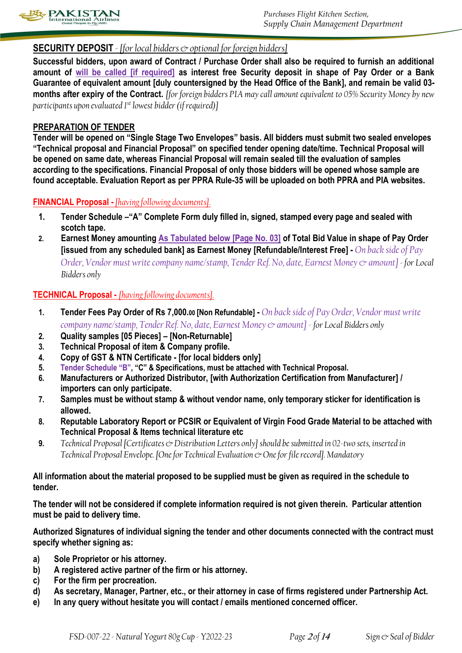

## **SECURITY DEPOSIT** *- [for local bidders & optional for foreign bidders]*

**Successful bidders, upon award of Contract / Purchase Order shall also be required to furnish an additional amount of will be called [if required] as interest free Security deposit in shape of Pay Order or a Bank Guarantee of equivalent amount [duly countersigned by the Head Office of the Bank], and remain be valid 03 months after expiry of the Contract.** *[for foreign bidders PIA may call amount equivalent to 05% Security Money by new participants upon evaluated 1st lowest bidder (if required)]*

### **PREPARATION OF TENDER**

**Tender will be opened on "Single Stage Two Envelopes" basis. All bidders must submit two sealed envelopes "Technical proposal and Financial Proposal" on specified tender opening date/time. Technical Proposal will be opened on same date, whereas Financial Proposal will remain sealed till the evaluation of samples according to the specifications. Financial Proposal of only those bidders will be opened whose sample are found acceptable. Evaluation Report as per PPRA Rule-35 will be uploaded on both PPRA and PIA websites.**

### **FINANCIAL Proposal -** *[having following documents].*

- **1. Tender Schedule –"A" Complete Form duly filled in, signed, stamped every page and sealed with scotch tape.**
- **2. Earnest Money amounting As Tabulated below [Page No. 03] of Total Bid Value in shape of Pay Order [issued from any scheduled bank] as Earnest Money [Refundable/Interest Free] -** *On back side of Pay Order, Vendor must write company name/stamp, Tender Ref. No, date, Earnest Money & amount] - for Local Bidders only*

### **TECHNICAL Proposal -** *[having following documents].*

- **1. Tender Fees Pay Order of Rs 7,000.<sup>00</sup> [Non Refundable] -** *On back side of Pay Order, Vendor must write company name/stamp, Tender Ref. No, date, Earnest Money & amount] - for Local Bidders only*
- **2. Quality samples [05 Pieces] – [Non-Returnable]**
- **3. Technical Proposal of item & Company profile.**
- **4. Copy of GST & NTN Certificate - [for local bidders only]**
- **5. Tender Schedule "B", "C" & Specifications, must be attached with Technical Proposal.**
- **6. Manufacturers or Authorized Distributor, [with Authorization Certification from Manufacturer] / importers can only participate.**
- **7. Samples must be without stamp & without vendor name, only temporary sticker for identification is allowed.**
- **8. Reputable Laboratory Report or PCSIR or Equivalent of Virgin Food Grade Material to be attached with Technical Proposal & Items technical literature etc**
- **9.** *Technical Proposal [Certificates & Distribution Letters only] should be submitted in 02-two sets, inserted in Technical Proposal Envelope. [One for Technical Evaluation & One for file record]. Mandatory*

### **All information about the material proposed to be supplied must be given as required in the schedule to tender.**

**The tender will not be considered if complete information required is not given therein. Particular attention must be paid to delivery time.** 

**Authorized Signatures of individual signing the tender and other documents connected with the contract must specify whether signing as:** 

- **a) Sole Proprietor or his attorney.**
- **b) A registered active partner of the firm or his attorney.**
- **c) For the firm per procreation.**
- **d) As secretary, Manager, Partner, etc., or their attorney in case of firms registered under Partnership Act.**
- **e) In any query without hesitate you will contact / emails mentioned concerned officer.**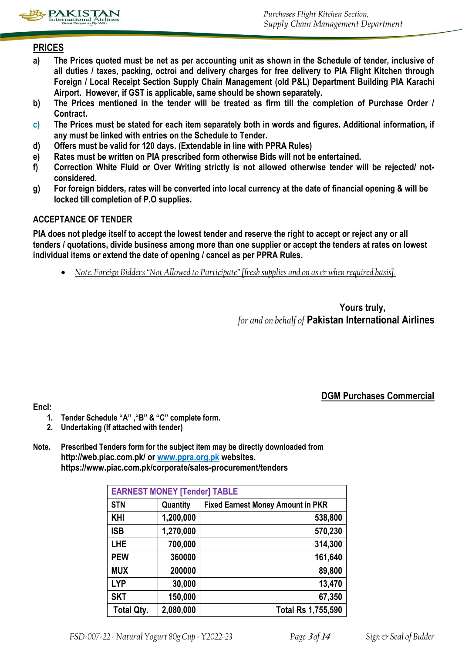

# **PRICES**

- **a) The Prices quoted must be net as per accounting unit as shown in the Schedule of tender, inclusive of all duties / taxes, packing, octroi and delivery charges for free delivery to PIA Flight Kitchen through Foreign / Local Receipt Section Supply Chain Management (old P&L) Department Building PIA Karachi Airport. However, if GST is applicable, same should be shown separately.**
- **b) The Prices mentioned in the tender will be treated as firm till the completion of Purchase Order / Contract.**
- **c) The Prices must be stated for each item separately both in words and figures. Additional information, if any must be linked with entries on the Schedule to Tender.**
- **d) Offers must be valid for 120 days. (Extendable in line with PPRA Rules)**
- **e) Rates must be written on PIA prescribed form otherwise Bids will not be entertained.**
- **f) Correction White Fluid or Over Writing strictly is not allowed otherwise tender will be rejected/ notconsidered.**
- **g) For foreign bidders, rates will be converted into local currency at the date of financial opening & will be locked till completion of P.O supplies.**

### **ACCEPTANCE OF TENDER**

**PIA does not pledge itself to accept the lowest tender and reserve the right to accept or reject any or all tenders / quotations, divide business among more than one supplier or accept the tenders at rates on lowest individual items or extend the date of opening / cancel as per PPRA Rules.**

*Note. Foreign Bidders "Not Allowed to Participate" [fresh supplies and on as*  $\circ$  *when required basis].* 

**Yours truly,** *for and on behalf of* **Pakistan International Airlines**

**DGM Purchases Commercial**

**Encl:** 

- **1. Tender Schedule "A" ,"B" & "C" complete form.**
- **2. Undertaking (If attached with tender)**
- **Note. Prescribed Tenders form for the subject item may be directly downloaded from http://web.piac.com.pk/ or www.ppra.org.pk websites. https://www.piac.com.pk/corporate/sales-procurement/tenders**

| <b>EARNEST MONEY [Tender] TABLE</b> |           |                                          |  |  |  |  |
|-------------------------------------|-----------|------------------------------------------|--|--|--|--|
| <b>STN</b>                          | Quantity  | <b>Fixed Earnest Money Amount in PKR</b> |  |  |  |  |
| <b>KHI</b>                          | 1,200,000 | 538,800                                  |  |  |  |  |
| <b>ISB</b>                          | 1,270,000 | 570,230                                  |  |  |  |  |
| <b>LHE</b>                          | 700,000   | 314,300                                  |  |  |  |  |
| <b>PEW</b>                          | 360000    | 161,640                                  |  |  |  |  |
| <b>MUX</b>                          | 200000    | 89,800                                   |  |  |  |  |
| <b>LYP</b>                          | 30,000    | 13,470                                   |  |  |  |  |
| <b>SKT</b>                          | 150,000   | 67,350                                   |  |  |  |  |
| <b>Total Qty.</b>                   | 2,080,000 | Total Rs 1,755,590                       |  |  |  |  |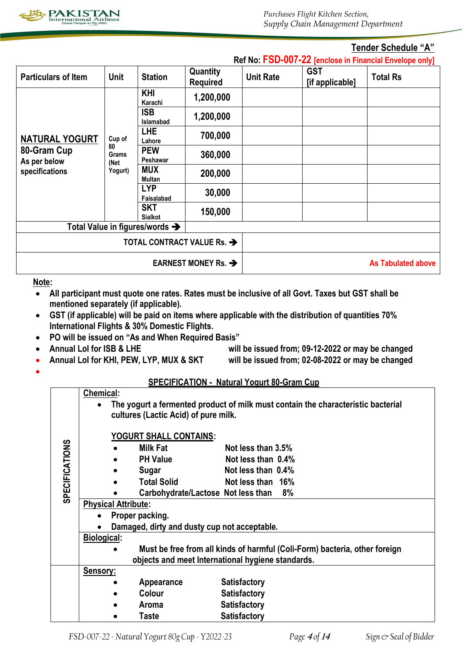

**Ref No: FSD-007-22 [enclose in Financial Envelope only]**

### **Tender Schedule "A"**

|                             |                     |                                        |                             |                  |                               | <b>RELINO.</b> FOUTOUT <b>EX</b> Jenclose in Financial Envelope only |
|-----------------------------|---------------------|----------------------------------------|-----------------------------|------------------|-------------------------------|----------------------------------------------------------------------|
| <b>Particulars of Item</b>  | Unit                | <b>Station</b>                         | Quantity<br><b>Required</b> | <b>Unit Rate</b> | <b>GST</b><br>[if applicable] | <b>Total Rs</b>                                                      |
|                             |                     | <b>KHI</b><br>Karachi                  | 1,200,000                   |                  |                               |                                                                      |
|                             |                     | <b>ISB</b><br><b>Islamabad</b>         | 1,200,000                   |                  |                               |                                                                      |
| <b>NATURAL YOGURT</b>       | Cup of              | <b>LHE</b><br>Lahore                   | 700,000                     |                  |                               |                                                                      |
| 80-Gram Cup<br>As per below | 80<br>Grams<br>(Net | <b>PEW</b><br>Peshawar                 | 360,000                     |                  |                               |                                                                      |
| specifications              | Yogurt)             | <b>MUX</b><br>Multan                   | 200,000                     |                  |                               |                                                                      |
|                             |                     | <b>LYP</b><br>Faisalabad               | 30,000                      |                  |                               |                                                                      |
|                             |                     | <b>SKT</b><br><b>Sialkot</b>           | 150,000                     |                  |                               |                                                                      |
|                             |                     | Total Value in figures/words →         |                             |                  |                               |                                                                      |
|                             |                     | TOTAL CONTRACT VALUE Rs. $\rightarrow$ |                             |                  |                               |                                                                      |
|                             |                     | EARNEST MONEY Rs. $\rightarrow$        |                             |                  | <b>As Tabulated above</b>     |                                                                      |

### **Note:**

- **All participant must quote one rates. Rates must be inclusive of all Govt. Taxes but GST shall be mentioned separately (if applicable).**
- **GST (if applicable) will be paid on items where applicable with the distribution of quantities 70% International Flights & 30% Domestic Flights.**
- **PO will be issued on "As and When Required Basis"**
- - **Annual LoI for ISB & LHE will be issued from; 09-12-2022 or may be changed**
- **Annual LoI for KHI, PEW, LYP, MUX & SKT will be issued from; 02-08-2022 or may be changed**
- $\bullet$

### **SPECIFICATION - Natural Yogurt 80-Gram Cup**

|                       | <b>Chemical:</b> |                                                                                                                          |                                              |                                                                            |  |  |  |  |  |
|-----------------------|------------------|--------------------------------------------------------------------------------------------------------------------------|----------------------------------------------|----------------------------------------------------------------------------|--|--|--|--|--|
|                       |                  | The yogurt a fermented product of milk must contain the characteristic bacterial<br>cultures (Lactic Acid) of pure milk. |                                              |                                                                            |  |  |  |  |  |
|                       |                  |                                                                                                                          |                                              |                                                                            |  |  |  |  |  |
|                       |                  |                                                                                                                          | <u>YOGURT SHALL CONTAINS:</u>                |                                                                            |  |  |  |  |  |
|                       |                  |                                                                                                                          | <b>Milk Fat</b>                              | Not less than 3.5%                                                         |  |  |  |  |  |
|                       |                  |                                                                                                                          | <b>PH Value</b>                              | Not less than 0.4%                                                         |  |  |  |  |  |
|                       |                  |                                                                                                                          | Sugar                                        | Not less than 0.4%                                                         |  |  |  |  |  |
|                       |                  |                                                                                                                          | <b>Total Solid</b>                           | Not less than 16%                                                          |  |  |  |  |  |
| <b>SPECIFICATIONS</b> |                  |                                                                                                                          | Carbohydrate/Lactose Not less than 8%        |                                                                            |  |  |  |  |  |
|                       |                  | <b>Physical Attribute:</b>                                                                                               |                                              |                                                                            |  |  |  |  |  |
|                       | $\bullet$        |                                                                                                                          | Proper packing.                              |                                                                            |  |  |  |  |  |
|                       |                  |                                                                                                                          | Damaged, dirty and dusty cup not acceptable. |                                                                            |  |  |  |  |  |
|                       | Biological:      |                                                                                                                          |                                              |                                                                            |  |  |  |  |  |
|                       |                  |                                                                                                                          |                                              | Must be free from all kinds of harmful (Coli-Form) bacteria, other foreign |  |  |  |  |  |
|                       |                  |                                                                                                                          |                                              | objects and meet International hygiene standards.                          |  |  |  |  |  |
|                       | Sensory:         |                                                                                                                          |                                              |                                                                            |  |  |  |  |  |
|                       |                  |                                                                                                                          | Appearance                                   | <b>Satisfactory</b>                                                        |  |  |  |  |  |
|                       |                  |                                                                                                                          | Colour                                       | <b>Satisfactory</b>                                                        |  |  |  |  |  |
|                       |                  |                                                                                                                          | Aroma                                        | <b>Satisfactory</b>                                                        |  |  |  |  |  |
|                       |                  |                                                                                                                          | Taste                                        | <b>Satisfactory</b>                                                        |  |  |  |  |  |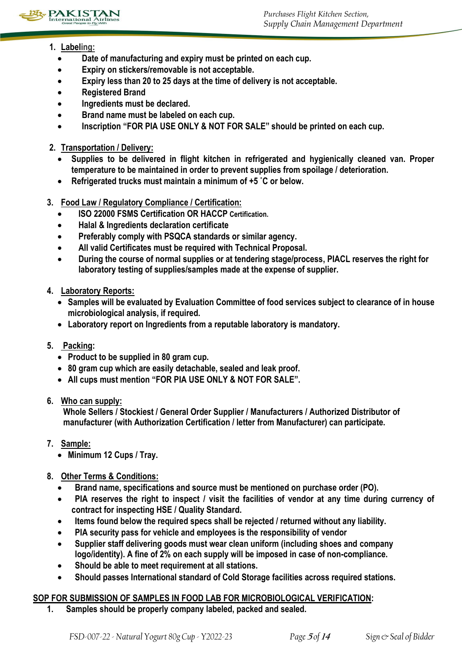

- **1. Labeling:** 
	- **Date of manufacturing and expiry must be printed on each cup.**
	- **Expiry on stickers/removable is not acceptable.**
	- **Expiry less than 20 to 25 days at the time of delivery is not acceptable.**
	- **Registered Brand**
	- **Ingredients must be declared.**
	- **•** Brand name must be labeled on each cup.
	- **Inscription "FOR PIA USE ONLY & NOT FOR SALE" should be printed on each cup.**
- **2. Transportation / Delivery:**
	- **Supplies to be delivered in flight kitchen in refrigerated and hygienically cleaned van. Proper temperature to be maintained in order to prevent supplies from spoilage / deterioration.**
	- **Refrigerated trucks must maintain a minimum of +5 ˚C or below.**
- **3. Food Law / Regulatory Compliance / Certification:** 
	- **ISO 22000 FSMS Certification OR HACCP Certification.**
	- **Halal & Ingredients declaration certificate**
	- **Preferably comply with PSQCA standards or similar agency.**
	- **All valid Certificates must be required with Technical Proposal.**
	- **During the course of normal supplies or at tendering stage/process, PIACL reserves the right for laboratory testing of supplies/samples made at the expense of supplier.**
- **4. Laboratory Reports:** 
	- **Samples will be evaluated by Evaluation Committee of food services subject to clearance of in house microbiological analysis, if required.**
	- **Laboratory report on Ingredients from a reputable laboratory is mandatory.**
- **5. Packing:** 
	- **Product to be supplied in 80 gram cup.**
	- **80 gram cup which are easily detachable, sealed and leak proof.**
	- **All cups must mention "FOR PIA USE ONLY & NOT FOR SALE".**
- **6. Who can supply:**

**Whole Sellers / Stockiest / General Order Supplier / Manufacturers / Authorized Distributor of manufacturer (with Authorization Certification / letter from Manufacturer) can participate.**

- **7. Sample:** 
	- **Minimum 12 Cups / Tray.**
- **8. Other Terms & Conditions:** 
	- **Brand name, specifications and source must be mentioned on purchase order (PO).**
	- **PIA reserves the right to inspect / visit the facilities of vendor at any time during currency of contract for inspecting HSE / Quality Standard.**
	- **Items found below the required specs shall be rejected / returned without any liability.**
	- **PIA security pass for vehicle and employees is the responsibility of vendor**
	- **Supplier staff delivering goods must wear clean uniform (including shoes and company logo/identity). A fine of 2% on each supply will be imposed in case of non-compliance.**
	- **Should be able to meet requirement at all stations.**
	- **Should passes International standard of Cold Storage facilities across required stations.**

# **SOP FOR SUBMISSION OF SAMPLES IN FOOD LAB FOR MICROBIOLOGICAL VERIFICATION:**

**1. Samples should be properly company labeled, packed and sealed.**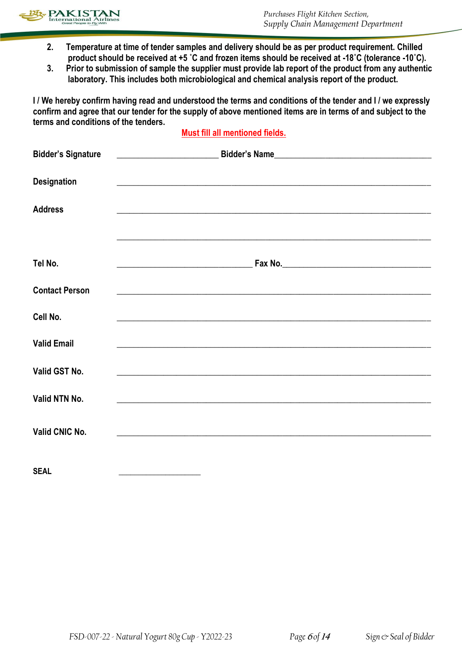

- **2. Temperature at time of tender samples and delivery should be as per product requirement. Chilled product should be received at +5 ˚C and frozen items should be received at -18˚C (tolerance -10˚C).**
- **3. Prior to submission of sample the supplier must provide lab report of the product from any authentic laboratory. This includes both microbiological and chemical analysis report of the product.**

**I / We hereby confirm having read and understood the terms and conditions of the tender and I / we expressly confirm and agree that our tender for the supply of above mentioned items are in terms of and subject to the terms and conditions of the tenders.** 

### **Must fill all mentioned fields.**

| <b>Bidder's Signature</b> |                                                                                                                        |
|---------------------------|------------------------------------------------------------------------------------------------------------------------|
| <b>Designation</b>        | and the control of the control of the control of the control of the control of the control of the control of the       |
| <b>Address</b>            | <u> 1989 - Johann Stoff, deutscher Stoffen und der Stoffen und der Stoffen und der Stoffen und der Stoffen und der</u> |
|                           |                                                                                                                        |
| Tel No.                   | <u> 1989 - Johann Barn, fransk politik amerikansk politik (</u>                                                        |
| <b>Contact Person</b>     | <u> 1990 - Johann Stoff, amerikan bestein ingilang di sebagai personal di sebagai personal di sebagai personal di</u>  |
| Cell No.                  | <u> 1989 - Johann Stoff, amerikansk politiker (d. 1989)</u>                                                            |
| <b>Valid Email</b>        |                                                                                                                        |
| Valid GST No.             | <u> 1989 - John Stone, Amerikaansk politiker (* 1989)</u>                                                              |
| Valid NTN No.             |                                                                                                                        |
| Valid CNIC No.            |                                                                                                                        |
| <b>SEAL</b>               |                                                                                                                        |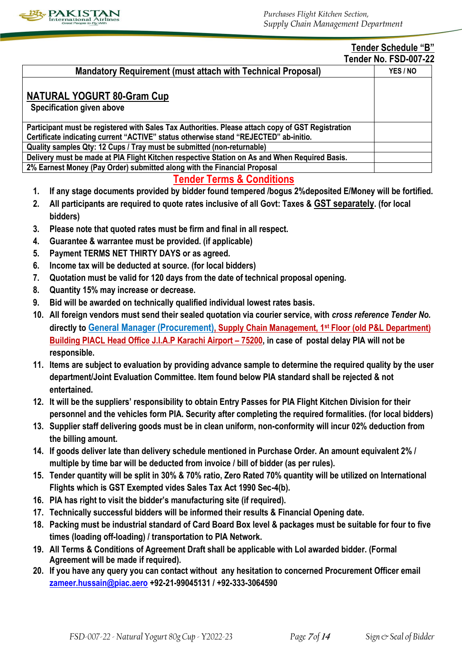

### **Tender Schedule "B" Tender No. FSD-007-22**

|                                                                                                   | <u> Leliger No. FSD-007-ZZ</u> |
|---------------------------------------------------------------------------------------------------|--------------------------------|
| <b>Mandatory Requirement (must attach with Technical Proposal)</b>                                | YES/NO                         |
| NATURAL YOGURT 80-Gram Cup<br><b>Specification given above</b>                                    |                                |
| Participant must be registered with Sales Tax Authorities. Please attach copy of GST Registration |                                |
| Certificate indicating current "ACTIVE" status otherwise stand "REJECTED" ab-initio.              |                                |
| Quality samples Qty: 12 Cups / Tray must be submitted (non-returnable)                            |                                |
| Delivery must be made at PIA Flight Kitchen respective Station on As and When Required Basis.     |                                |
| 2% Earnest Money (Pay Order) submitted along with the Financial Proposal                          |                                |

# **Tender Terms & Conditions**

- **1. If any stage documents provided by bidder found tempered /bogus 2%deposited E/Money will be fortified.**
- **2. All participants are required to quote rates inclusive of all Govt: Taxes & GST separately. (for local bidders)**
- **3. Please note that quoted rates must be firm and final in all respect.**
- **4. Guarantee & warrantee must be provided. (if applicable)**
- **5. Payment TERMS NET THIRTY DAYS or as agreed.**
- **6. Income tax will be deducted at source. (for local bidders)**
- **7. Quotation must be valid for 120 days from the date of technical proposal opening.**
- **8. Quantity 15% may increase or decrease.**
- **9. Bid will be awarded on technically qualified individual lowest rates basis.**
- **10. All foreign vendors must send their sealed quotation via courier service, with** *cross reference Tender No.* **directly to General Manager (Procurement), Supply Chain Management, 1st Floor (old P&L Department) Building PIACL Head Office J.I.A.P Karachi Airport – 75200, in case of postal delay PIA will not be responsible.**
- **11. Items are subject to evaluation by providing advance sample to determine the required quality by the user department/Joint Evaluation Committee. Item found below PIA standard shall be rejected & not entertained.**
- **12. It will be the suppliers' responsibility to obtain Entry Passes for PIA Flight Kitchen Division for their personnel and the vehicles form PIA. Security after completing the required formalities. (for local bidders)**
- **13. Supplier staff delivering goods must be in clean uniform, non-conformity will incur 02% deduction from the billing amount.**
- **14. If goods deliver late than delivery schedule mentioned in Purchase Order. An amount equivalent 2% / multiple by time bar will be deducted from invoice / bill of bidder (as per rules).**
- **15. Tender quantity will be split in 30% & 70% ratio, Zero Rated 70% quantity will be utilized on International Flights which is GST Exempted vides Sales Tax Act 1990 Sec-4(b).**
- **16. PIA has right to visit the bidder's manufacturing site (if required).**
- **17. Technically successful bidders will be informed their results & Financial Opening date.**
- **18. Packing must be industrial standard of Card Board Box level & packages must be suitable for four to five times (loading off-loading) / transportation to PIA Network.**
- **19. All Terms & Conditions of Agreement Draft shall be applicable with LoI awarded bidder. (Formal Agreement will be made if required).**
- **20. If you have any query you can contact without any hesitation to concerned Procurement Officer email [zameer.hussain@piac.aero](mailto:zameer.hussain@piac.aero) +92-21-99045131 / +92-333-3064590**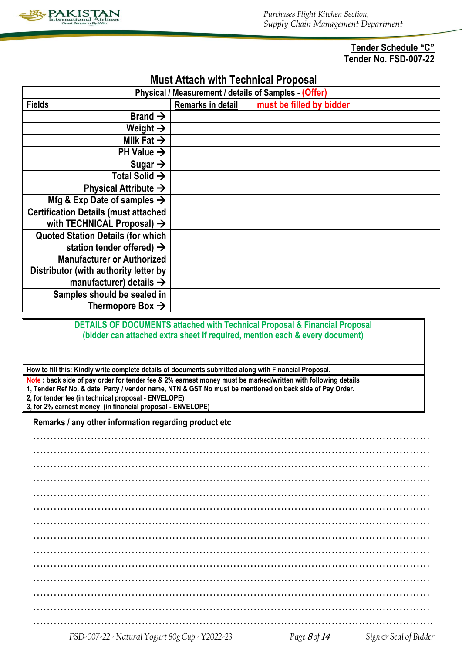

**Tender Schedule "C" Tender No. FSD-007-22**

|                                             |                   | Physical / Measurement / details of Samples - (Offer)                        |  |
|---------------------------------------------|-------------------|------------------------------------------------------------------------------|--|
| <b>Fields</b>                               | Remarks in detail | must be filled by bidder                                                     |  |
| Brand $\rightarrow$                         |                   |                                                                              |  |
| Weight $\rightarrow$                        |                   |                                                                              |  |
| Milk Fat $\rightarrow$                      |                   |                                                                              |  |
| PH Value $\rightarrow$                      |                   |                                                                              |  |
| Sugar $\rightarrow$                         |                   |                                                                              |  |
| Total Solid $\rightarrow$                   |                   |                                                                              |  |
| Physical Attribute $\rightarrow$            |                   |                                                                              |  |
| Mfg & Exp Date of samples $\rightarrow$     |                   |                                                                              |  |
| <b>Certification Details (must attached</b> |                   |                                                                              |  |
| with TECHNICAL Proposal) $\rightarrow$      |                   |                                                                              |  |
| <b>Quoted Station Details (for which</b>    |                   |                                                                              |  |
| station tender offered) $\rightarrow$       |                   |                                                                              |  |
| <b>Manufacturer or Authorized</b>           |                   |                                                                              |  |
| Distributor (with authority letter by       |                   |                                                                              |  |
| manufacturer) details $\rightarrow$         |                   |                                                                              |  |
| Samples should be sealed in                 |                   |                                                                              |  |
| Thermopore Box $\rightarrow$                |                   |                                                                              |  |
|                                             |                   | DETAILS OF DOCUMENTS attached with Technical Proposal & Financial Proposal   |  |
|                                             |                   | (bidder can attached extra sheet if required, mention each & every document) |  |
|                                             |                   |                                                                              |  |
|                                             |                   |                                                                              |  |

# **Must Attach with Technical Proposal**

**How to fill this: Kindly write complete details of documents submitted along with Financial Proposal.**

**Note : back side of pay order for tender fee & 2% earnest money must be marked/written with following details 1, Tender Ref No. & date, Party / vendor name, NTN & GST No must be mentioned on back side of Pay Order. 2, for tender fee (in technical proposal - ENVELOPE)**

**3, for 2% earnest money (in financial proposal - ENVELOPE)**

**Remarks / any other information regarding product etc**

*FSD-007-22 - Natural Yogurt 80g Cup - Y2022-23 Page* **<sup>8</sup>** *of* **<sup>14</sup>** *Sign & Seal of Bidder*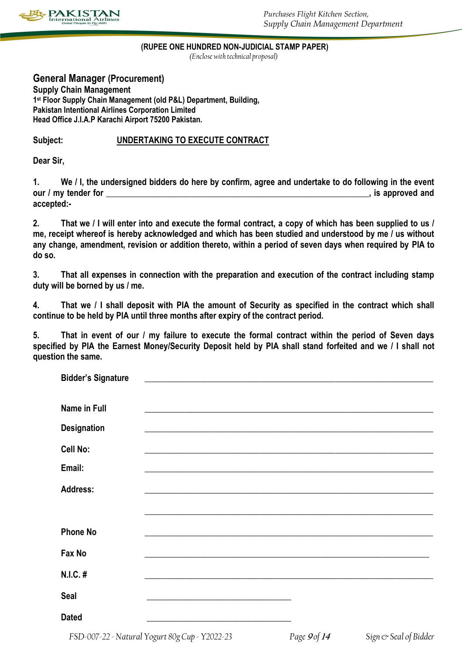

### **(RUPEE ONE HUNDRED NON-JUDICIAL STAMP PAPER)**

*(Enclose with technical proposal)*

**General Manager (Procurement) Supply Chain Management 1 st Floor Supply Chain Management (old P&L) Department, Building, Pakistan Intentional Airlines Corporation Limited Head Office J.I.A.P Karachi Airport 75200 Pakistan.**

### **Subject: UNDERTAKING TO EXECUTE CONTRACT**

**Dear Sir,**

**1. We / I, the undersigned bidders do here by confirm, agree and undertake to do following in the event our / my tender for**  extended and **our / my tender for accepted:-**

**2. That we / I will enter into and execute the formal contract, a copy of which has been supplied to us / me, receipt whereof is hereby acknowledged and which has been studied and understood by me / us without any change, amendment, revision or addition thereto, within a period of seven days when required by PIA to do so.**

**3. That all expenses in connection with the preparation and execution of the contract including stamp duty will be borned by us / me.**

**4. That we / I shall deposit with PIA the amount of Security as specified in the contract which shall continue to be held by PIA until three months after expiry of the contract period.**

**5. That in event of our / my failure to execute the formal contract within the period of Seven days specified by PIA the Earnest Money/Security Deposit held by PIA shall stand forfeited and we / I shall not question the same.**

| <b>Bidder's Signature</b> |  |  |  |
|---------------------------|--|--|--|
| Name in Full              |  |  |  |
| Designation               |  |  |  |
| Cell No:                  |  |  |  |
| Email:                    |  |  |  |
| <b>Address:</b>           |  |  |  |
|                           |  |  |  |
| <b>Phone No</b>           |  |  |  |
| Fax No                    |  |  |  |
| N.I.C. #                  |  |  |  |
| <b>Seal</b>               |  |  |  |
| <b>Dated</b>              |  |  |  |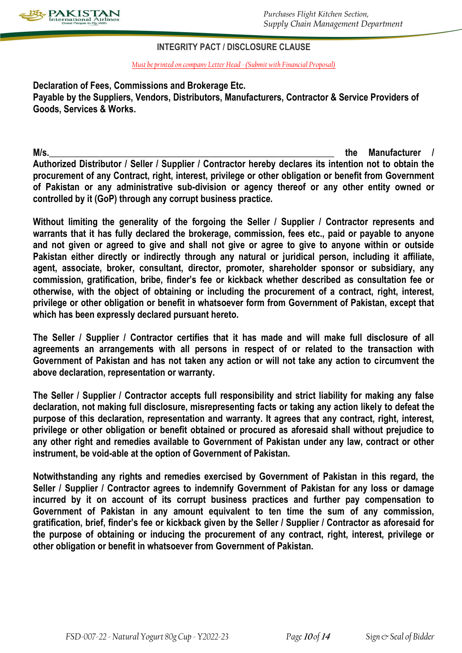

### **INTEGRITY PACT / DISCLOSURE CLAUSE**

*Must be printed on company Letter Head - (Submit with Financial Proposal)*

**Declaration of Fees, Commissions and Brokerage Etc. Payable by the Suppliers, Vendors, Distributors, Manufacturers, Contractor & Service Providers of Goods, Services & Works.**

**M/s.\_\_\_\_\_\_\_\_\_\_\_\_\_\_\_\_\_\_\_\_\_\_\_\_\_\_\_\_\_\_\_\_\_\_\_\_\_\_\_\_\_\_\_\_\_\_\_\_\_\_\_\_\_\_\_\_\_\_\_\_\_\_ the Manufacturer / Authorized Distributor / Seller / Supplier / Contractor hereby declares its intention not to obtain the procurement of any Contract, right, interest, privilege or other obligation or benefit from Government of Pakistan or any administrative sub-division or agency thereof or any other entity owned or controlled by it (GoP) through any corrupt business practice.**

**Without limiting the generality of the forgoing the Seller / Supplier / Contractor represents and warrants that it has fully declared the brokerage, commission, fees etc., paid or payable to anyone and not given or agreed to give and shall not give or agree to give to anyone within or outside Pakistan either directly or indirectly through any natural or juridical person, including it affiliate, agent, associate, broker, consultant, director, promoter, shareholder sponsor or subsidiary, any commission, gratification, bribe, finder's fee or kickback whether described as consultation fee or otherwise, with the object of obtaining or including the procurement of a contract, right, interest, privilege or other obligation or benefit in whatsoever form from Government of Pakistan, except that which has been expressly declared pursuant hereto.**

**The Seller / Supplier / Contractor certifies that it has made and will make full disclosure of all agreements an arrangements with all persons in respect of or related to the transaction with Government of Pakistan and has not taken any action or will not take any action to circumvent the above declaration, representation or warranty.**

**The Seller / Supplier / Contractor accepts full responsibility and strict liability for making any false declaration, not making full disclosure, misrepresenting facts or taking any action likely to defeat the purpose of this declaration, representation and warranty. It agrees that any contract, right, interest, privilege or other obligation or benefit obtained or procured as aforesaid shall without prejudice to any other right and remedies available to Government of Pakistan under any law, contract or other instrument, be void-able at the option of Government of Pakistan.**

**Notwithstanding any rights and remedies exercised by Government of Pakistan in this regard, the Seller / Supplier / Contractor agrees to indemnify Government of Pakistan for any loss or damage incurred by it on account of its corrupt business practices and further pay compensation to Government of Pakistan in any amount equivalent to ten time the sum of any commission, gratification, brief, finder's fee or kickback given by the Seller / Supplier / Contractor as aforesaid for the purpose of obtaining or inducing the procurement of any contract, right, interest, privilege or other obligation or benefit in whatsoever from Government of Pakistan.**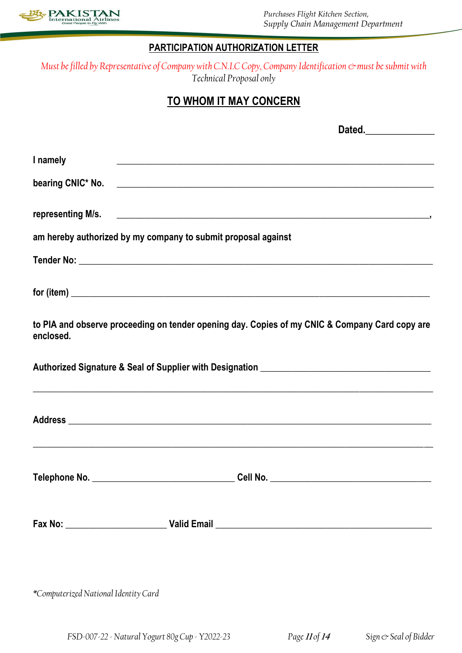

*Purchases Flight Kitchen Section, Supply Chain Management Department*

# **PARTICIPATION AUTHORIZATION LETTER**

*Must be filled by Representative of Company with C.N.I.C Copy, Company Identification*  $\circ$  must be submit with *Technical Proposal only*

# **TO WHOM IT MAY CONCERN**

|                                                               | Dated.______________                                                                           |
|---------------------------------------------------------------|------------------------------------------------------------------------------------------------|
| I namely                                                      |                                                                                                |
|                                                               |                                                                                                |
|                                                               |                                                                                                |
| am hereby authorized by my company to submit proposal against |                                                                                                |
|                                                               |                                                                                                |
|                                                               |                                                                                                |
| enclosed.                                                     | to PIA and observe proceeding on tender opening day. Copies of my CNIC & Company Card copy are |
|                                                               | ,我们也不能在这里的时候,我们也不能在这里的时候,我们也不能会不能会不能会不能会不能会不能会不能会不能会不能会不能会。""我们的是,我们也不能会不能会不能会不能               |
|                                                               |                                                                                                |
|                                                               |                                                                                                |
|                                                               |                                                                                                |
| *Computerized National Identity Card                          |                                                                                                |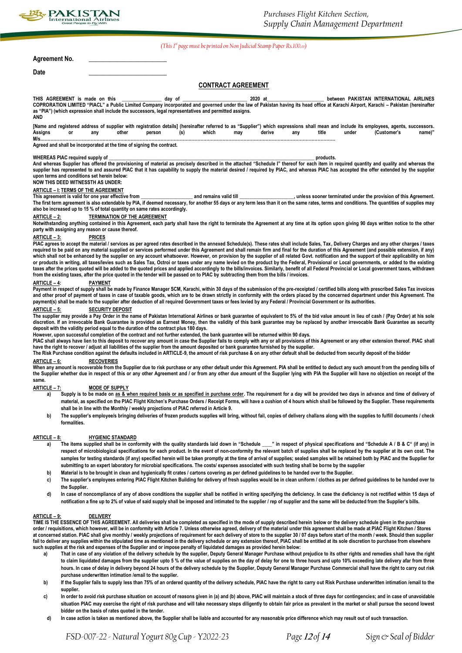

### *(This 1st page must be printed on Non Judicial Stamp Paper Rs.100.00)*

#### **Agreement No. \_\_\_\_\_\_\_\_\_\_\_\_\_\_\_\_\_\_\_\_\_\_**

| Date |  |  |  |
|------|--|--|--|
|      |  |  |  |

### **CONTRACT AGREEMENT**

THIS AGREEMENT is made on this \_\_\_\_\_\_\_\_\_\_\_\_\_\_ day of \_\_\_\_\_\_\_\_\_\_\_\_\_\_\_\_\_\_\_\_\_\_\_\_\_\_\_\_ 2020 at\_\_\_\_\_\_\_\_\_\_\_\_\_\_\_\_\_\_\_\_\_\_\_\_\_\_\_between PAKISTAN INTERNATIONAL AIRLINES **COPRORATION LIMITED "PIACL" a Public Limited Company incorporated and governed under the law of Pakistan having its head office at Karachi Airport, Karachi – Pakistan (hereinafter as "PIA") (which expression shall include the successors, legal representatives and permitted assigns. AND**

**[Name and registered address of supplier with registration details] (hereinafter referred to as "Supplier") which expressions shall mean and include its employees, agents, successors. Assigns or any other person (s) which may derive any title under (Customer's name)" M/s.………………………………………………………………………………………………………………………………………………………………………………** 

**Agreed and shall be incorporated at the time of signing the contract.**

#### WHEREAS PIAC required supply of **with a supply of the supply of the supply of the supply of the supply of the supply of the supply of the supply of the supply of the supply of the supply of the supply of the supply of the**

**And whereas Supplier has offered the provisioning of material as precisely described in the attached "Schedule I" thereof for each item in required quantity and quality and whereas the supplier has represented to and assured PIAC that it has capability to supply the material desired / required by PIAC, and whereas PIAC has accepted the offer extended by the supplier upon terms and conditions set herein below:** 

### **NOW THIS DEED WITNESSTH AS UNDER:**

**ARTICLE – I: TERMS OF THE AGREEMENT This and remains valid fill and remains valid fill and remains valid till and remains valid till and remains valid till and remains valid till and remains valid till and remains valid till and remains valid till and remai** The first term agreement is also extendable by PIA, if deemed necessary, for another 55 days or any term less than it on the same rates, terms and conditions. The quantities of supplies may necessary for another 55 days or **also be increased up to 15 % of total quantity on same rates accordingly.** 

#### **ARTICLE – 2: TERMINATION OF THE AGREEMENT**

Notwithstanding anything contained in this Agreement, each party shall have the right to terminate the Agreement at any time at its option upon giving 90 days written notice to the other **party with assigning any reason or cause thereof.**

#### **ARTICLE – 3: PRICES**

PIAC agrees to accept the **material** / services as per agreed rates described in the annexed Schedule(s). These rates shall include Sales, Tax, Delivery Charges and any other charges / taxes required to be paid on any material supplied or services performed under this Agreement and shall remain firm and final for the duration of this Agreement (and possible extension, if any) which shall not be enhanced by the supplier on any account whatsoever. However, on provision by the supplier of all related Govt. notification and the support of their applicability on him **or products in writing, all taxes/levies such as Sales Tax, Octroi or taxes under any name levied on the product by the Federal, Provisional or Local governments, or added to the existing taxes after the prices quoted will be added to the quoted prices and applied accordingly to the bills/invoices. Similarly, benefit of all Federal Provincial or Local government taxes, withdrawn from the existing taxes, after the price quoted in the tender will be passed on to PIAC by subtracting them from the bills / invoices.**

#### **ARTICLE – 4: PAYMENT**

Payment in respect of supply shall be made by Finance Manager SCM, Karachi, within 30 days of the submission of the pre-receipted / certified bills along with prescribed Sales Tax invoices and other proof of payment of taxes in case of taxable goods, which are to be drawn strictly in conformity with the orders placed by the concerned department under this Agreement. The **payment(s) shall be made to the supplier after deduction of all required Government taxes or fees levied by any Federal / Provincial Government or its authorities.**

#### **ARTICLE – 5: SECURITY DEPOSIT**

The supplier may provide a Pay Order in the name of Pakistan International Airlines or bank guarantee of equivalent to 5% of the bid value amount in lieu of cash / (Pay Order) at his sole **discretion. If an irrevocable Bank Guarantee is provided as Earnest Money, then the validity of this bank guarantee may be replaced by another irrevocable Bank Guarantee as security deposit with the validity period equal to the duration of the contract plus 180 days.**

However, upon successful completion of the contract and not further extended, the bank guarantee will be returned within 90 days.<br>PIAC shall always have lien to this deposit to recover any amount in case the Supplier fails **have the right to recover / adjust all liabilities of the supplier from the amount deposited or bank guarantee furnished by the supplier.**

**The Risk Purchase condition against the defaults included in ARTICLE-9, the amount of risk purchase & on any other default shall be deducted from security deposit of the bidder** 

### **ARTICLE – 6: RECOVERIES**

When any amount is recoverable from the Supplier due to risk purchase or any other default under this Agreement. PIA shall be entitled to deduct any such amount from the pending bills of **the Supplier whether due in respect of this or any other Agreement and / or from any other due amount of the Supplier lying with PIA the Supplier will have no objection on receipt of the same.**

#### **ARTICLE – 7: MODE OF SUPPLY**

- a) Supply is to be made on as & when required basis or as specified in purchase order. The requirement for a day will be provided two days in advance and time of delivery of **material, as specified on the PIAC Flight Kitchen's Purchase Orders / Receipt Forms, will have a cushion of 4 hours which shall be followed by the Supplier. These requirements shall be in line with the Monthly / weekly projections of PIAC referred in Article 9.**
- **b) The supplier's employee/s bringing deliveries of frozen products supplies will bring, without fail, copies of delivery challans along with the supplies to fulfill documents / check formalities.**

#### **ARTICLE – 8: HYGIENIC STANDARD**

- a) The items supplied shall be in conformity with the quality standards laid down in "Schedule \_\_\_" in respect of physical specifications and "Schedule A / B & C" (if any) in **respect of microbiological specifications for each product. In the event of non-conformity the relevant batch of supplies shall be replaced by the supplier at its own cost. The**  samples for testing standards (if any) specified herein will be taken promptly at the time of arrival of supplies; sealed samples will be retained both by PIAC and the Supplier for **submitting to an expert laboratory for microbial specifications. The costs/ expenses associated with such testing shall be borne by the supplier**
- **b) Material is to be brought in clean and hygienically fit crates / cartons covering as per defined guidelines to be handed over to the Supplier.**
- **c) The supplier's employees entering PIAC Flight Kitchen Building for delivery of fresh supplies would be in clean uniform / clothes as per defined guidelines to be handed over to the Supplier.**
- d) In case of noncompliance of any of above conditions the supplier shall be notified in writing specifying the deficiency. In case the deficiency is not rectified within 15 days of **notification a fine up to 2% of value of said supply shall be imposed and intimated to the supplier / rep of supplier and the same will be deducted from the Supplier's bills.**

#### **ARTICLE – 9: DELIVERY**

**TIME IS THE ESSENCE OF THIS AGREEMENT. All deliveries shall be completed as specified in the mode of supply described herein below or the delivery schedule given in the purchase order / requisitions, which however, will be in conformity with Article 7. Unless otherwise agreed, delivery of the material under this agreement shall be made at PIAC Flight Kitchen / Stores at concerned station. PIAC shall give monthly / weekly projections of requirement for each delivery of store to the supplier 30 / 07 days before start of the month / week. Should then supplier fail to deliver any supplies within the stipulated time as mentioned in the delivery schedule or any extension thereof, PIAC shall be entitled at its sole discretion to purchase from elsewhere such supplies at the risk and expenses of the Supplier and or impose penalty of liquidated damages as provided herein below:**

- **a) That in case of any violation of the delivery schedule by the supplier, Deputy General Manager Purchase without prejudice to its other rights and remedies shall have the right to claim liquidated damages from the supplier upto 5 % of the value of supplies on the day of delay for one to three hours and upto 10% exceeding late delivery afar from three hours. In case of delay in delivery beyond 24 hours of the delivery schedule by the Supplier, Deputy General Manager Purchase Commercial shall have the right to carry out risk purchase underwritten intimation /email to the supplier.**
- b) If the Supplier fails to supply less than 75% of an ordered quantity of the delivery schedule, PIAC have the right to carry out Risk Purchase underwritten intimation /email to the **supplier.**
- **c) In order to avoid risk purchase situation on account of reasons given in (a) and (b) above, PIAC will maintain a stock of three days for contingencies; and in case of unavoidable situation PIAC may exercise the right of risk purchase and will take necessary steps diligently to obtain fair price as prevalent in the market or shall pursue the second lowest bidder on the basis of rates quoted in the tender.**
- **d) In case action is taken as mentioned above, the Supplier shall be liable and accounted for any reasonable price difference which may result out of such transaction.**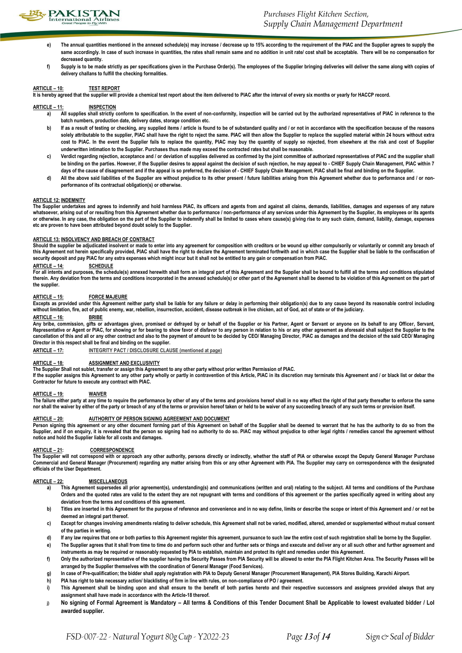

- **e) The annual quantities mentioned in the annexed schedule(s) may increase / decrease up to 15% according to the requirement of the PIAC and the Supplier agrees to supply the same accordingly. In case of such increase in quantities, the rates shall remain same and no addition in unit rate/ cost shall be acceptable. There will be no compensation for decreased quantity.**
- **f) Supply is to be made strictly as per specifications given in the Purchase Order(s). The employees of the Supplier bringing deliveries will deliver the same along with copies of delivery challans to fulfill the checking formalities.**

#### **ARTICLE – 10: TEST REPORT**

**It is hereby agreed that the supplier will provide a chemical test report about the item delivered to PIAC after the interval of every six months or yearly for HACCP record.**

#### **ARTICLE – 11: INSPECTION**

- **a) All supplies shall strictly conform to specification. In the event of non-conformity, inspection will be carried out by the authorized representatives of PIAC in reference to the batch numbers, production date, delivery dates, storage condition etc.**
- b) If as a result of testing or checking, any supplied items / article is found to be of substandard quality and / or not in accordance with the specification because of the reasons solely attributable to the supplier, PIAC shall have the right to reject the same. PIAC will then allow the Supplier to replace the supplied material within 24 hours without extra cost to PIAC. In the event the Supplier fails to replace the quantity, PIAC may buy the quantity of supply so rejected, from elsewhere at the risk and cost of Supplier **underwritten intimation to the Supplier. Purchases thus made may exceed the contracted rates but shall be reasonable.**
- c) Verdict regarding rejection, acceptance and / or deviation of supplies delivered as confirmed by the joint committee of authorized representatives of PIAC and the supplier shall **be binding on the parties. However, if the Supplier desires to appeal against the decision of such rejection, he may appeal to - CHIEF Supply Chain Management, PIAC within 7 days of the cause of disagreement and if the appeal is so preferred, the decision of - CHIEF Supply Chain Management, PIAC shall be final and binding on the Supplier.**
- d) All the above said liabilities of the Supplier are without prejudice to its other present / future liabilities arising from this Agreement whether due to performance and / or non**performance of its contractual obligation(s) or otherwise.**

#### **ARTICLE 12: INDEMNITY**

**The Supplier undertakes and agrees to indemnify and hold harmless PIAC, its officers and agents from and against all claims, demands, liabilities, damages and expenses of any nature**  whatsoever, arising out of or resulting from this Agreement whether due to performance / non-performance of any services under this Agreement by the Supplier, its employees or its agents **or otherwise. In any case, the obligation on the part of the Supplier to indemnify shall be limited to cases where cause(s) giving rise to any such claim, demand, liability, damage, expenses etc are proven to have been attributed beyond doubt solely to the Supplier.**

#### **ARTICLE 13: INSOLVENCY AND BREACH OF CONTRACT**

Should the supplier be adjudicated insolvent or made to enter into any agreement for composition with creditors or be wound up either compulsorily or voluntarily or commit any breach of **this Agreement not herein specifically provided, PIAC shall have the right to declare the Agreement terminated forthwith and in which case the Supplier shall be liable to the confiscation of security deposit and pay PIAC for any extra expenses which might incur but it shall not be entitled to any gain or compensation from PIAC.**

### **ARTICLE – 14: SCHEDULE**

**For all intents and purposes, the schedule(s) annexed herewith shall form an integral part of this Agreement and the Supplier shall be bound to fulfill all the terms and conditions stipulated**  therein. Any deviation from the terms and conditions incorporated in the annexed schedule(s) or other part of the Agreement shall be deemed to be violation of this Agreement on the part of **the supplier.**

#### **ARTICLE – 15: FORCE MAJEURE**

**Excepts as provided under this Agreement neither party shall be liable for any failure or delay in performing their obligation(s) due to any cause beyond its reasonable control including without limitation, fire, act of public enemy, war, rebellion, insurrection, accident, disease outbreak in live chicken, act of God, act of state or of the judiciary.**

#### **ARTICLE – 16: BRIBE**

**Any bribe, commission, gifts or advantages given, promised or defrayed by or behalf of the Supplier or his Partner, Agent or Servant or anyone on its behalf to any Officer, Servant, Representative or Agent or PIAC, for showing or for bearing to show favor of disfavor to any person in relation to his or any other agreement as aforesaid shall subject the Supplier to the cancellation of this and all or any other contract and also to the payment of amount to be decided by CEO/ Managing Director, PIAC as damages and the decision of the said CEO/ Managing Director in this respect shall be final and binding on the supplier.** 

**ARTICLE – 17: INTEGRITY PACT / DISCLOSURE CLAUSE (mentioned at page)**

### **ARTICLE – 18: ASSIGNMENT AND EXCLUSIVITY**

**The Supplier Shall not sublet, transfer or assign this Agreement to any other party without prior written Permission of PIAC.**

If the supplier assigns this Agreement to any other party wholly or partly in contravention of this Article, PIAC in its discretion may terminate this Agreement and / or black list or debar the **Contractor for future to execute any contract with PIAC.**

#### **ARTICLE – 19: WAIVER**

The failure either party at any time to require the performance by other of any of the terms and provisions hereof shall in no way effect the right of that party thereafter to enforce the same **nor shall the waiver by either of the party or breach of any of the terms or provision hereof taken or held to be waiver of any succeeding breach of any such terms or provision itself.**

### **ARTICLE – 20: AUTHORITY OF PERSON SIGNING AGREEMENT AND DOCUMENT**

**Person signing this agreement or any other document forming part of this Agreement on behalf of the Supplier shall be deemed to warrant that he has the authority to do so from the Supplier, and if on enquiry, it is revealed that the person so signing had no authority to do so. PIAC may without prejudice to other legal rights / remedies cancel the agreement without notice and hold the Supplier liable for all costs and damages.**

#### **ARTICLE – 21: CORRESPONDENCE**

**The Supplier will not correspond with or approach any other authority, persons directly or indirectly, whether the staff of PIA or otherwise except the Deputy General Manager Purchase Commercial and General Manager (Procurement) regarding any matter arising from this or any other Agreement with PIA. The Supplier may carry on correspondence with the designated officials of the User Department.** 

#### **ARTICLE – 22: MISCELLANEOUS**

- **a) This Agreement supersedes all prior agreement(s), understanding(s) and communications (written and oral) relating to the subject. All terms and conditions of the Purchase Orders and the quoted rates are valid to the extent they are not repugnant with terms and conditions of this agreement or the parties specifically agreed in writing about any deviation from the terms and conditions of this agreement.**
- b) Titles are inserted in this Agreement for the purpose of reference and convenience and in no way define, limits or describe the scope or intent of this Agreement and / or not be **deemed an integral part thereof.**
- **c) Except for changes involving amendments relating to deliver schedule, this Agreement shall not be varied, modified, altered, amended or supplemented without mutual consent of the parties in writing.**
- **d) If any law requires that one or both parties to this Agreement register this agreement, pursuance to such law the entire cost of such registration shall be borne by the Supplier.**
- **e) The Supplier agrees that it shall from time to time do and perform such other and further sets or things and execute and deliver any or all such other and further agreement and instruments as may be required or reasonably requested by PIA to establish, maintain and protect its right and remedies under this Agreement.**
- **f) Only the authorized representative of the supplier having the Security Passes from PIA Security will be allowed to enter the PIA Flight Kitchen Area. The Security Passes will be arranged by the Supplier themselves with the coordination of General Manager (Food Services).**
- **g) In case of Pre-qualification; the bidder shall apply registration with PIA to Deputy General Manager (Procurement Management), PIA Stores Building, Karachi Airport.**
- **h) PIA has right to take necessary action/ blacklisting of firm in line with rules, on non-compliance of PO / agreement.**
- i) This Agreement shall be binding upon and shall ensure to the benefit of both parties hereto and their respective successors and assignees provided always that any **assignment shall have made in accordance with the Article-18 thereof.**
- **j) No signing of Formal Agreement is Mandatory – All terms & Conditions of this Tender Document Shall be Applicable to lowest evaluated bidder / LoI awarded supplier.**